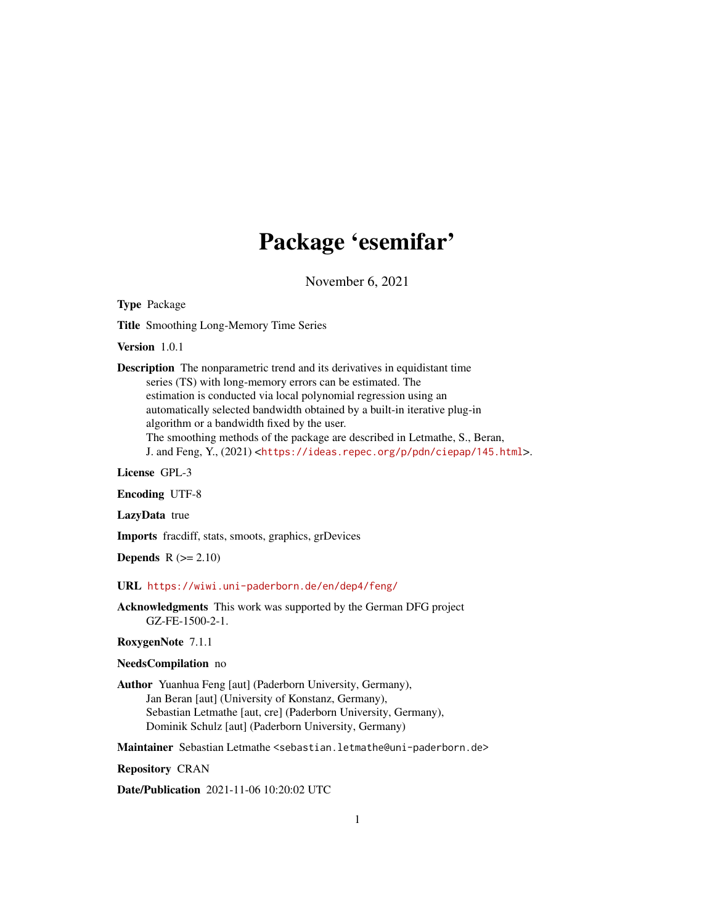## Package 'esemifar'

November 6, 2021

<span id="page-0-0"></span>Type Package

Title Smoothing Long-Memory Time Series

Version 1.0.1

Description The nonparametric trend and its derivatives in equidistant time series (TS) with long-memory errors can be estimated. The estimation is conducted via local polynomial regression using an automatically selected bandwidth obtained by a built-in iterative plug-in algorithm or a bandwidth fixed by the user. The smoothing methods of the package are described in Letmathe, S., Beran, J. and Feng, Y., (2021) <<https://ideas.repec.org/p/pdn/ciepap/145.html>>.

License GPL-3

Encoding UTF-8

LazyData true

Imports fracdiff, stats, smoots, graphics, grDevices

**Depends**  $R (= 2.10)$ 

URL <https://wiwi.uni-paderborn.de/en/dep4/feng/>

Acknowledgments This work was supported by the German DFG project GZ-FE-1500-2-1.

RoxygenNote 7.1.1

NeedsCompilation no

Author Yuanhua Feng [aut] (Paderborn University, Germany), Jan Beran [aut] (University of Konstanz, Germany), Sebastian Letmathe [aut, cre] (Paderborn University, Germany), Dominik Schulz [aut] (Paderborn University, Germany)

Maintainer Sebastian Letmathe <sebastian.letmathe@uni-paderborn.de>

Repository CRAN

Date/Publication 2021-11-06 10:20:02 UTC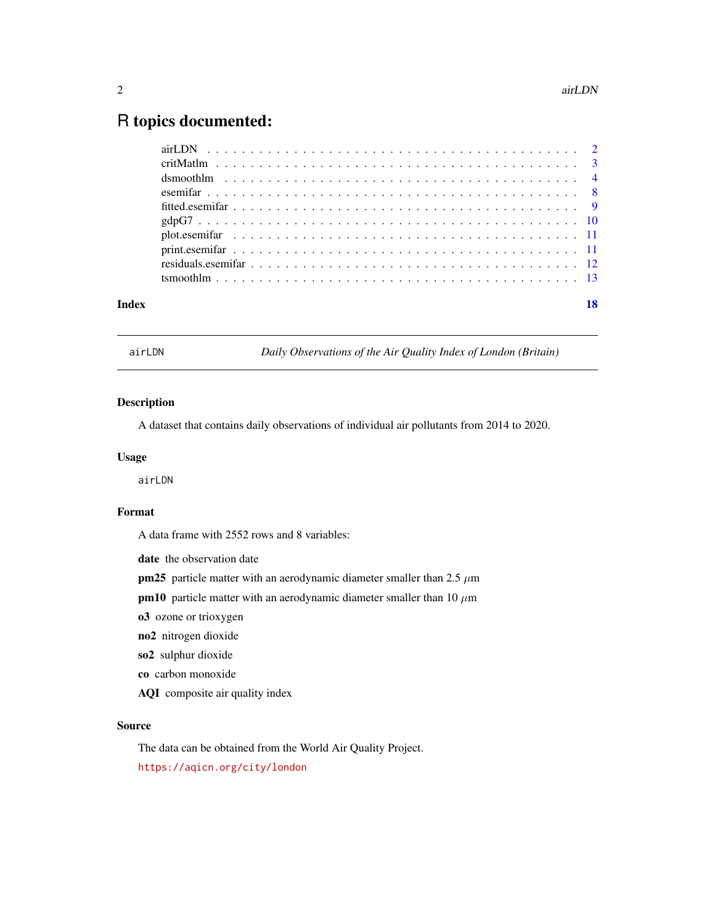### <span id="page-1-0"></span>R topics documented:

| Index |  |
|-------|--|
|       |  |
|       |  |
|       |  |
|       |  |
|       |  |
|       |  |
|       |  |
|       |  |
|       |  |
|       |  |

<span id="page-1-1"></span>airLDN *Daily Observations of the Air Quality Index of London (Britain)*

#### Description

A dataset that contains daily observations of individual air pollutants from 2014 to 2020.

#### Usage

airLDN

#### Format

A data frame with 2552 rows and 8 variables:

date the observation date

pm25 particle matter with an aerodynamic diameter smaller than  $2.5 \mu m$ 

pm10 particle matter with an aerodynamic diameter smaller than 10  $\mu$ m

o3 ozone or trioxygen

no2 nitrogen dioxide

so2 sulphur dioxide

co carbon monoxide

AQI composite air quality index

#### Source

The data can be obtained from the World Air Quality Project. <https://aqicn.org/city/london>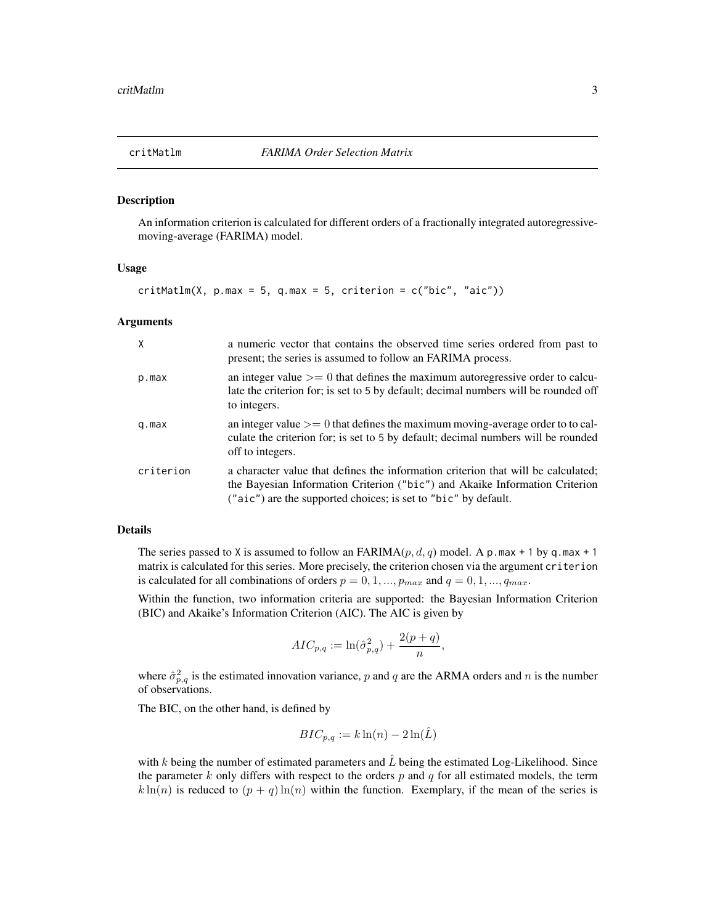<span id="page-2-1"></span><span id="page-2-0"></span>

#### **Description**

An information criterion is calculated for different orders of a fractionally integrated autoregressivemoving-average (FARIMA) model.

#### Usage

 $critMathm(X, p.max = 5, q.max = 5, criterion = c("bic", "aic"))$ 

#### **Arguments**

| $\mathsf{X}$ | a numeric vector that contains the observed time series ordered from past to<br>present; the series is assumed to follow an FARIMA process.                                                                                        |
|--------------|------------------------------------------------------------------------------------------------------------------------------------------------------------------------------------------------------------------------------------|
| p.max        | an integer value $\geq$ 0 that defines the maximum autoregressive order to calcu-<br>late the criterion for; is set to 5 by default; decimal numbers will be rounded off<br>to integers.                                           |
| q.max        | an integer value $\geq$ 0 that defines the maximum moving-average order to to cal-<br>culate the criterion for; is set to 5 by default; decimal numbers will be rounded<br>off to integers.                                        |
| criterion    | a character value that defines the information criterion that will be calculated;<br>the Bayesian Information Criterion ("bic") and Akaike Information Criterion<br>("aic") are the supported choices; is set to "bic" by default. |

#### Details

The series passed to X is assumed to follow an FARIMA( $p, d, q$ ) model. A p.max + 1 by q.max + 1 matrix is calculated for this series. More precisely, the criterion chosen via the argument criterion is calculated for all combinations of orders  $p = 0, 1, ..., p_{max}$  and  $q = 0, 1, ..., q_{max}$ .

Within the function, two information criteria are supported: the Bayesian Information Criterion (BIC) and Akaike's Information Criterion (AIC). The AIC is given by

$$
ALC_{p,q} := \ln(\hat{\sigma}_{p,q}^2) + \frac{2(p+q)}{n},
$$

where  $\hat{\sigma}_{p,q}^2$  is the estimated innovation variance, p and q are the ARMA orders and n is the number of observations.

The BIC, on the other hand, is defined by

$$
BIC_{p,q} := k \ln(n) - 2 \ln(\hat{L})
$$

with k being the number of estimated parameters and  $\hat{L}$  being the estimated Log-Likelihood. Since the parameter k only differs with respect to the orders  $p$  and  $q$  for all estimated models, the term  $k \ln(n)$  is reduced to  $(p + q) \ln(n)$  within the function. Exemplary, if the mean of the series is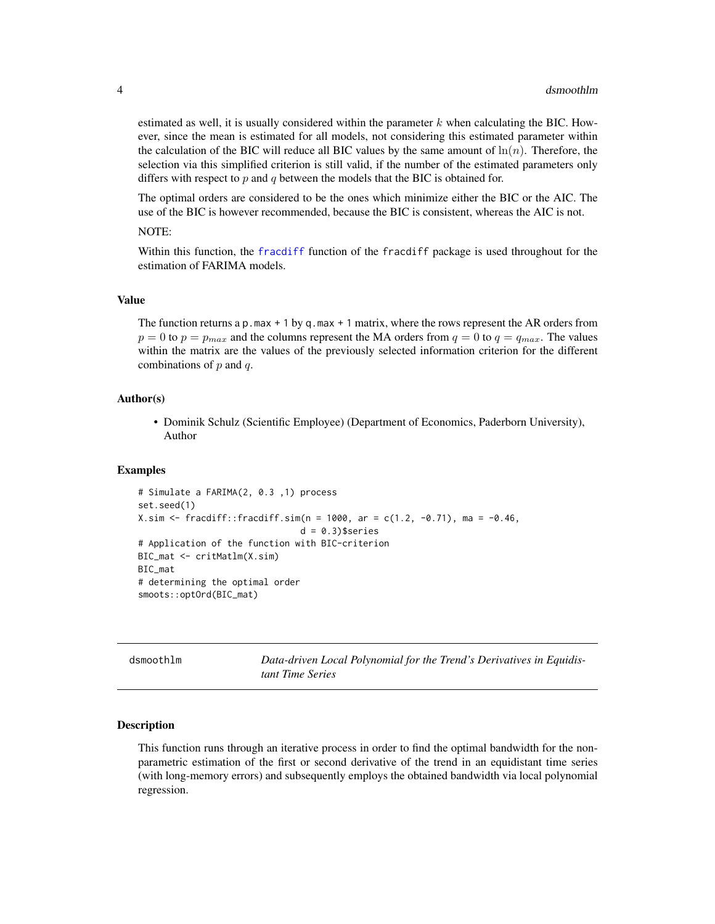estimated as well, it is usually considered within the parameter  $k$  when calculating the BIC. However, since the mean is estimated for all models, not considering this estimated parameter within the calculation of the BIC will reduce all BIC values by the same amount of  $\ln(n)$ . Therefore, the selection via this simplified criterion is still valid, if the number of the estimated parameters only differs with respect to  $p$  and  $q$  between the models that the BIC is obtained for.

The optimal orders are considered to be the ones which minimize either the BIC or the AIC. The use of the BIC is however recommended, because the BIC is consistent, whereas the AIC is not.

#### NOTE:

Within this function, the [fracdiff](#page-0-0) function of the fracdiff package is used throughout for the estimation of FARIMA models.

#### Value

The function returns a p.max  $+1$  by q.max  $+1$  matrix, where the rows represent the AR orders from  $p = 0$  to  $p = p_{max}$  and the columns represent the MA orders from  $q = 0$  to  $q = q_{max}$ . The values within the matrix are the values of the previously selected information criterion for the different combinations of  $p$  and  $q$ .

#### Author(s)

• Dominik Schulz (Scientific Employee) (Department of Economics, Paderborn University), Author

#### Examples

```
# Simulate a FARIMA(2, 0.3 ,1) process
set.seed(1)
X.sim <- fracdiff::fracdiff.sim(n = 1000, ar = c(1.2, -0.71), ma = -0.46,
                               d = 0.3)$series
# Application of the function with BIC-criterion
BIC_mat <- critMatlm(X.sim)
BIC_mat
# determining the optimal order
smoots::optOrd(BIC_mat)
```
dsmoothlm *Data-driven Local Polynomial for the Trend's Derivatives in Equidistant Time Series*

#### **Description**

This function runs through an iterative process in order to find the optimal bandwidth for the nonparametric estimation of the first or second derivative of the trend in an equidistant time series (with long-memory errors) and subsequently employs the obtained bandwidth via local polynomial regression.

<span id="page-3-0"></span>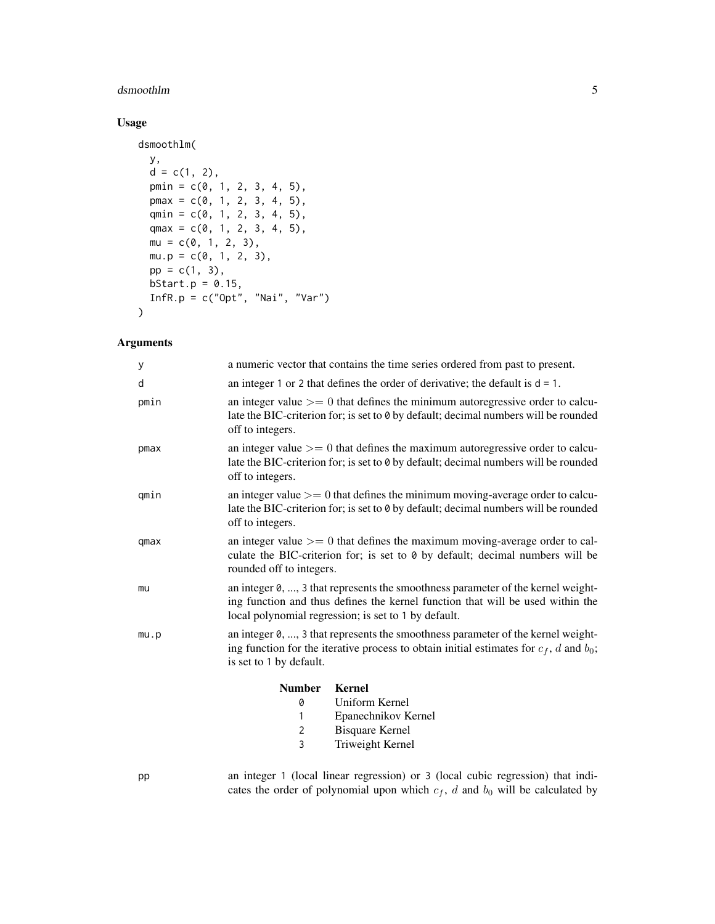#### dsmoothlm 5

#### Usage

```
dsmoothlm(
 y,
 d = c(1, 2),
 pmin = c(0, 1, 2, 3, 4, 5),
 pmax = c(0, 1, 2, 3, 4, 5),qmin = c(0, 1, 2, 3, 4, 5),
 qmax = c(0, 1, 2, 3, 4, 5),
 mu = c(0, 1, 2, 3),mu.p = c(0, 1, 2, 3),pp = c(1, 3),
 bStart.p = 0.15,
 InfR.p = c("Opt", "Nai", "Var")
\mathcal{L}
```
#### Arguments

| у    |                          | a numeric vector that contains the time series ordered from past to present.                                                                                                                                               |
|------|--------------------------|----------------------------------------------------------------------------------------------------------------------------------------------------------------------------------------------------------------------------|
| d    |                          | an integer 1 or 2 that defines the order of derivative; the default is $d = 1$ .                                                                                                                                           |
| pmin | off to integers.         | an integer value $\geq$ 0 that defines the minimum autoregressive order to calcu-<br>late the BIC-criterion for; is set to 0 by default; decimal numbers will be rounded                                                   |
| pmax | off to integers.         | an integer value $\geq$ 0 that defines the maximum autoregressive order to calcu-<br>late the BIC-criterion for; is set to 0 by default; decimal numbers will be rounded                                                   |
| qmin | off to integers.         | an integer value $\geq$ 0 that defines the minimum moving-average order to calcu-<br>late the BIC-criterion for; is set to 0 by default; decimal numbers will be rounded                                                   |
| qmax | rounded off to integers. | an integer value $\geq$ 0 that defines the maximum moving-average order to cal-<br>culate the BIC-criterion for; is set to 0 by default; decimal numbers will be                                                           |
| mu   |                          | an integer 0, , 3 that represents the smoothness parameter of the kernel weight-<br>ing function and thus defines the kernel function that will be used within the<br>local polynomial regression; is set to 1 by default. |
| mu.p | is set to 1 by default.  | an integer 0, , 3 that represents the smoothness parameter of the kernel weight-<br>ing function for the iterative process to obtain initial estimates for $c_f$ , d and $b_0$ ;                                           |
|      | <b>Number</b>            | <b>Kernel</b>                                                                                                                                                                                                              |
|      | 0                        | Uniform Kernel                                                                                                                                                                                                             |
|      | 1                        | Epanechnikov Kernel                                                                                                                                                                                                        |
|      | $\overline{c}$           | Bisquare Kernel                                                                                                                                                                                                            |
|      | 3                        | Triweight Kernel                                                                                                                                                                                                           |
| nn   |                          | an integer 1 (local linear regression) or 3 (local cubic regression) that indi-                                                                                                                                            |

pp an integer 1 (local linear regression) or 3 (local cubic regression) that indicates the order of polynomial upon which  $c_f$ , d and  $b_0$  will be calculated by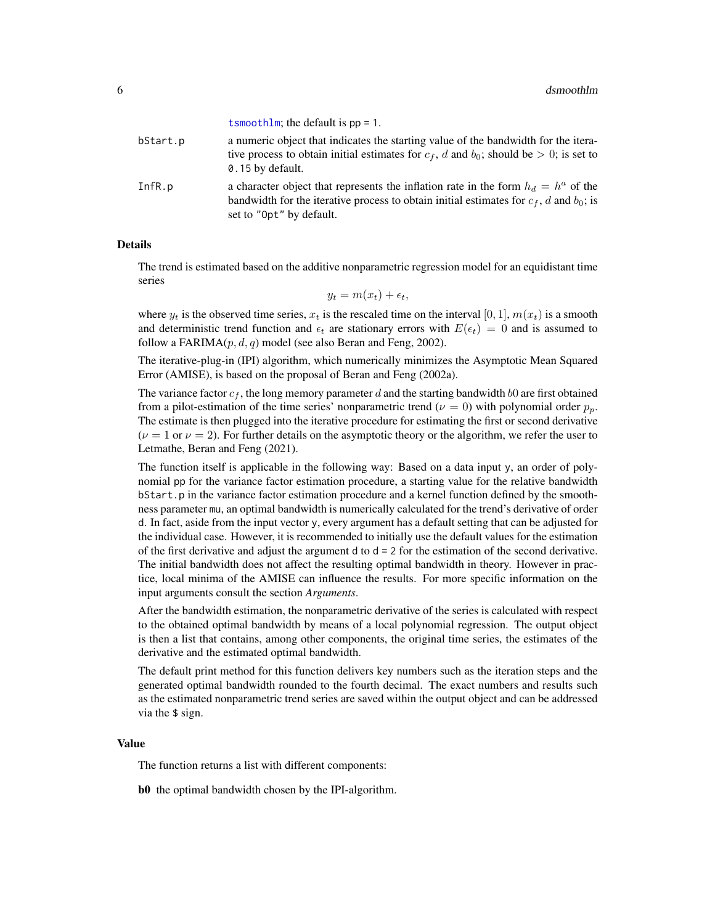<span id="page-5-0"></span>

|          | $\text{CSIIIOOLIIIIII}$ ; the detault is $pp - 1$ .                                                                                                                                                              |
|----------|------------------------------------------------------------------------------------------------------------------------------------------------------------------------------------------------------------------|
| bStart.p | a numeric object that indicates the starting value of the bandwidth for the itera-<br>tive process to obtain initial estimates for $c_f$ , d and $b_0$ ; should be $> 0$ ; is set to<br>0.15 by default.         |
| InfR.p   | a character object that represents the inflation rate in the form $h_d = h^a$ of the<br>bandwidth for the iterative process to obtain initial estimates for $c_f$ , d and $b_0$ ; is<br>set to "Opt" by default. |

[tsmoothlm](#page-12-1); the default is pp = 1.

#### Details

The trend is estimated based on the additive nonparametric regression model for an equidistant time series

$$
y_t = m(x_t) + \epsilon_t,
$$

where  $y_t$  is the observed time series,  $x_t$  is the rescaled time on the interval [0, 1],  $m(x_t)$  is a smooth and deterministic trend function and  $\epsilon_t$  are stationary errors with  $E(\epsilon_t) = 0$  and is assumed to follow a FARIMA $(p, d, q)$  model (see also Beran and Feng, 2002).

The iterative-plug-in (IPI) algorithm, which numerically minimizes the Asymptotic Mean Squared Error (AMISE), is based on the proposal of Beran and Feng (2002a).

The variance factor  $c_f$ , the long memory parameter d and the starting bandwidth b0 are first obtained from a pilot-estimation of the time series' nonparametric trend ( $\nu = 0$ ) with polynomial order  $p_n$ . The estimate is then plugged into the iterative procedure for estimating the first or second derivative  $(\nu = 1 \text{ or } \nu = 2)$ . For further details on the asymptotic theory or the algorithm, we refer the user to Letmathe, Beran and Feng (2021).

The function itself is applicable in the following way: Based on a data input y, an order of polynomial pp for the variance factor estimation procedure, a starting value for the relative bandwidth bStart.p in the variance factor estimation procedure and a kernel function defined by the smoothness parameter mu, an optimal bandwidth is numerically calculated for the trend's derivative of order d. In fact, aside from the input vector y, every argument has a default setting that can be adjusted for the individual case. However, it is recommended to initially use the default values for the estimation of the first derivative and adjust the argument  $d$  to  $d = 2$  for the estimation of the second derivative. The initial bandwidth does not affect the resulting optimal bandwidth in theory. However in practice, local minima of the AMISE can influence the results. For more specific information on the input arguments consult the section *Arguments*.

After the bandwidth estimation, the nonparametric derivative of the series is calculated with respect to the obtained optimal bandwidth by means of a local polynomial regression. The output object is then a list that contains, among other components, the original time series, the estimates of the derivative and the estimated optimal bandwidth.

The default print method for this function delivers key numbers such as the iteration steps and the generated optimal bandwidth rounded to the fourth decimal. The exact numbers and results such as the estimated nonparametric trend series are saved within the output object and can be addressed via the \$ sign.

#### Value

The function returns a list with different components:

b0 the optimal bandwidth chosen by the IPI-algorithm.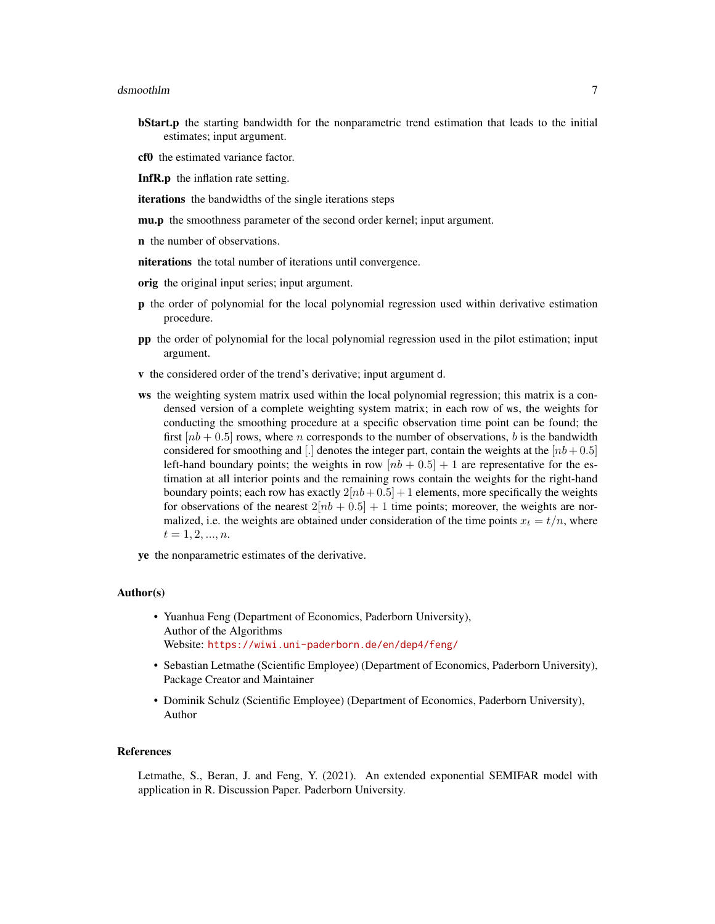#### dsmoothlm **7**

- **bStart.p** the starting bandwidth for the nonparametric trend estimation that leads to the initial estimates; input argument.
- cf0 the estimated variance factor.
- InfR.p the inflation rate setting.
- iterations the bandwidths of the single iterations steps
- mu.p the smoothness parameter of the second order kernel; input argument.
- n the number of observations.
- niterations the total number of iterations until convergence.
- orig the original input series; input argument.
- p the order of polynomial for the local polynomial regression used within derivative estimation procedure.
- pp the order of polynomial for the local polynomial regression used in the pilot estimation; input argument.
- v the considered order of the trend's derivative; input argument d.
- ws the weighting system matrix used within the local polynomial regression; this matrix is a condensed version of a complete weighting system matrix; in each row of ws, the weights for conducting the smoothing procedure at a specific observation time point can be found; the first  $[nb + 0.5]$  rows, where n corresponds to the number of observations, b is the bandwidth considered for smoothing and [.] denotes the integer part, contain the weights at the  $[nb+0.5]$ left-hand boundary points; the weights in row  $[nb + 0.5] + 1$  are representative for the estimation at all interior points and the remaining rows contain the weights for the right-hand boundary points; each row has exactly  $2[nb+0.5] + 1$  elements, more specifically the weights for observations of the nearest  $2[nb + 0.5] + 1$  time points; moreover, the weights are normalized, i.e. the weights are obtained under consideration of the time points  $x_t = t/n$ , where  $t = 1, 2, ..., n$ .
- ye the nonparametric estimates of the derivative.

#### Author(s)

- Yuanhua Feng (Department of Economics, Paderborn University), Author of the Algorithms Website: <https://wiwi.uni-paderborn.de/en/dep4/feng/>
- Sebastian Letmathe (Scientific Employee) (Department of Economics, Paderborn University), Package Creator and Maintainer
- Dominik Schulz (Scientific Employee) (Department of Economics, Paderborn University), Author

#### References

Letmathe, S., Beran, J. and Feng, Y. (2021). An extended exponential SEMIFAR model with application in R. Discussion Paper. Paderborn University.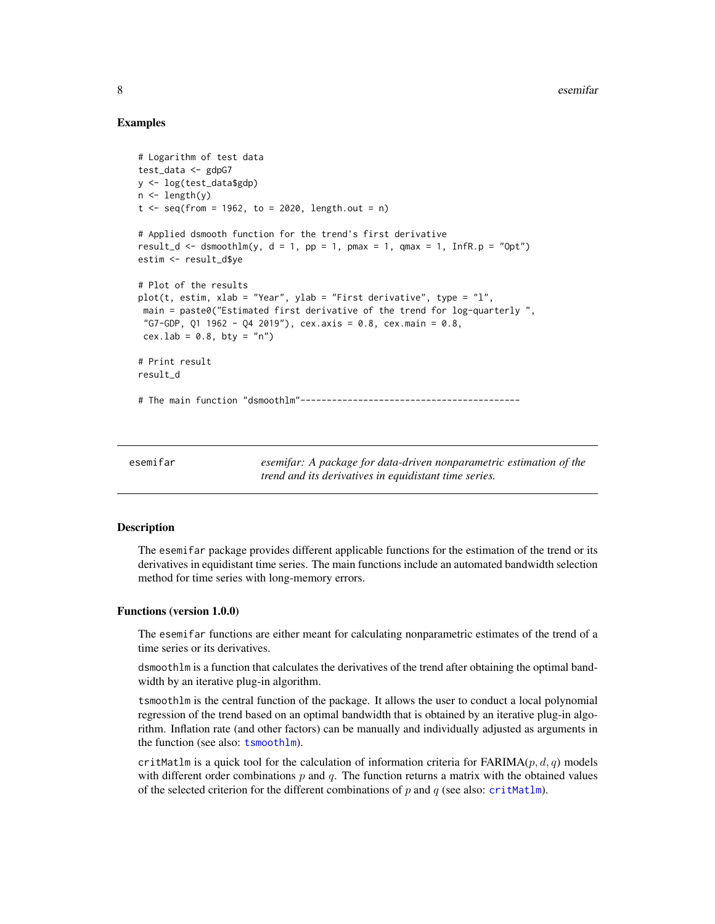#### Examples

```
# Logarithm of test data
test_data <- gdpG7
y <- log(test_data$gdp)
n <- length(y)
t < - seq(from = 1962, to = 2020, length.out = n)
# Applied dsmooth function for the trend's first derivative
result_d <- dsmoothlm(y, d = 1, pp = 1, pmax = 1, qmax = 1, InfR.p = "0pt")
estim <- result_d$ye
# Plot of the results
plot(t, estim, xlab = "Year", ylab = "First derivative", type = "l",
main = paste0("Estimated first derivative of the trend for log-quarterly ",
 "G7-GDP, Q1 1962 - Q4 2019"), cex.axis = 0.8, cex.main = 0.8,
cex.lab = 0.8, bty = "n")
# Print result
result_d
# The main function "dsmoothlm"------------------------------------------
```
esemifar *esemifar: A package for data-driven nonparametric estimation of the trend and its derivatives in equidistant time series.*

#### Description

The esemifar package provides different applicable functions for the estimation of the trend or its derivatives in equidistant time series. The main functions include an automated bandwidth selection method for time series with long-memory errors.

#### Functions (version 1.0.0)

The esemifar functions are either meant for calculating nonparametric estimates of the trend of a time series or its derivatives.

dsmoothlm is a function that calculates the derivatives of the trend after obtaining the optimal bandwidth by an iterative plug-in algorithm.

tsmoothlm is the central function of the package. It allows the user to conduct a local polynomial regression of the trend based on an optimal bandwidth that is obtained by an iterative plug-in algorithm. Inflation rate (and other factors) can be manually and individually adjusted as arguments in the function (see also: [tsmoothlm](#page-12-1)).

critMatlm is a quick tool for the calculation of information criteria for  $FARIMA(p, d, q)$  models with different order combinations  $p$  and  $q$ . The function returns a matrix with the obtained values of the selected criterion for the different combinations of  $p$  and  $q$  (see also: [critMatlm](#page-2-1)).

<span id="page-7-0"></span>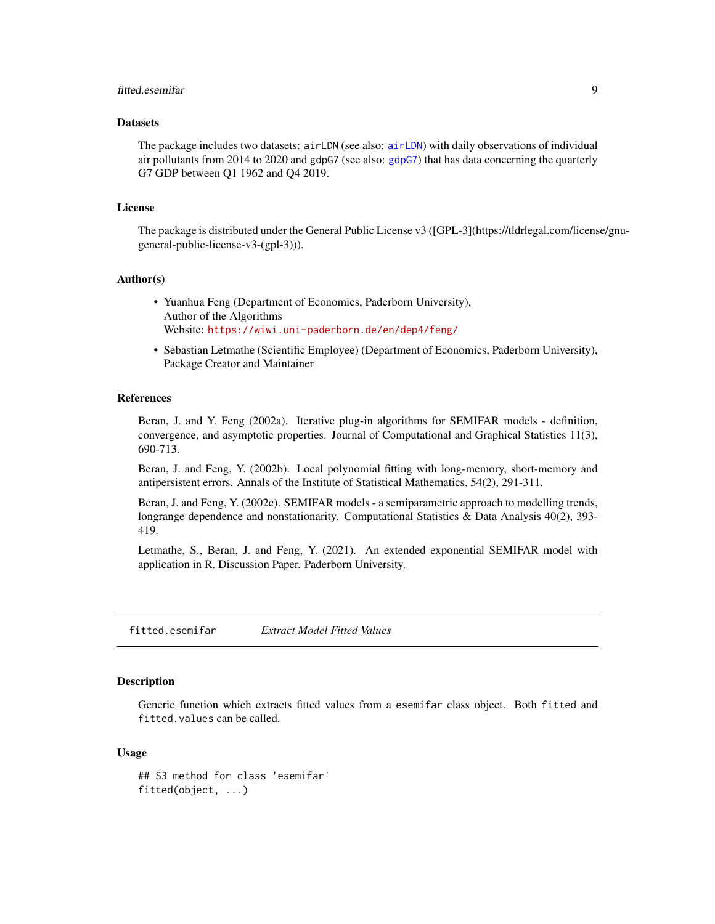#### <span id="page-8-0"></span>fitted.esemifar 9

#### **Datasets**

The package includes two datasets: airLDN (see also: [airLDN](#page-1-1)) with daily observations of individual air pollutants from 2014 to 2020 and gdpG7 (see also: [gdpG7](#page-9-1)) that has data concerning the quarterly G7 GDP between Q1 1962 and Q4 2019.

#### License

The package is distributed under the General Public License v3 ([GPL-3](https://tldrlegal.com/license/gnugeneral-public-license-v3-(gpl-3))).

#### Author(s)

- Yuanhua Feng (Department of Economics, Paderborn University), Author of the Algorithms Website: <https://wiwi.uni-paderborn.de/en/dep4/feng/>
- Sebastian Letmathe (Scientific Employee) (Department of Economics, Paderborn University), Package Creator and Maintainer

#### References

Beran, J. and Y. Feng (2002a). Iterative plug-in algorithms for SEMIFAR models - definition, convergence, and asymptotic properties. Journal of Computational and Graphical Statistics 11(3), 690-713.

Beran, J. and Feng, Y. (2002b). Local polynomial fitting with long-memory, short-memory and antipersistent errors. Annals of the Institute of Statistical Mathematics, 54(2), 291-311.

Beran, J. and Feng, Y. (2002c). SEMIFAR models - a semiparametric approach to modelling trends, longrange dependence and nonstationarity. Computational Statistics & Data Analysis 40(2), 393-419.

Letmathe, S., Beran, J. and Feng, Y. (2021). An extended exponential SEMIFAR model with application in R. Discussion Paper. Paderborn University.

fitted.esemifar *Extract Model Fitted Values*

#### **Description**

Generic function which extracts fitted values from a esemifar class object. Both fitted and fitted.values can be called.

#### Usage

```
## S3 method for class 'esemifar'
fitted(object, ...)
```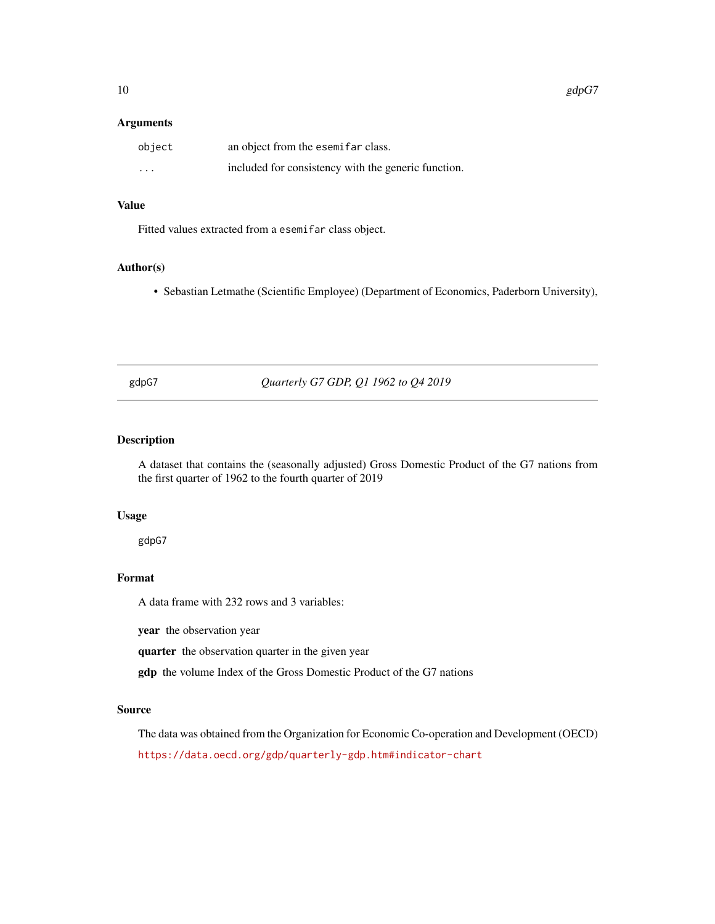#### <span id="page-9-0"></span>Arguments

| object                  | an object from the esemifar class.                  |
|-------------------------|-----------------------------------------------------|
| $\cdot$ $\cdot$ $\cdot$ | included for consistency with the generic function. |

#### Value

Fitted values extracted from a esemifar class object.

#### Author(s)

• Sebastian Letmathe (Scientific Employee) (Department of Economics, Paderborn University),

<span id="page-9-1"></span>gdpG7 *Quarterly G7 GDP, Q1 1962 to Q4 2019*

#### Description

A dataset that contains the (seasonally adjusted) Gross Domestic Product of the G7 nations from the first quarter of 1962 to the fourth quarter of 2019

#### Usage

gdpG7

#### Format

A data frame with 232 rows and 3 variables:

year the observation year

quarter the observation quarter in the given year

gdp the volume Index of the Gross Domestic Product of the G7 nations

#### Source

The data was obtained from the Organization for Economic Co-operation and Development (OECD) <https://data.oecd.org/gdp/quarterly-gdp.htm#indicator-chart>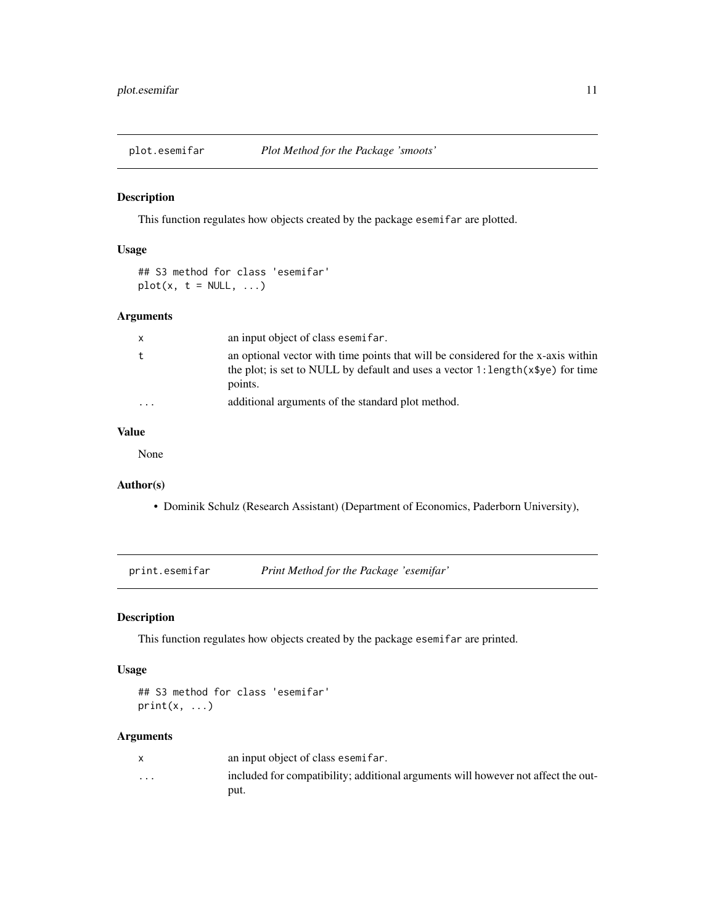<span id="page-10-0"></span>

#### Description

This function regulates how objects created by the package esemifar are plotted.

#### Usage

## S3 method for class 'esemifar'  $plot(x, t = NULL, ...)$ 

#### Arguments

| $\mathsf{x}$            | an input object of class esemifar.                                                                                                                                                 |
|-------------------------|------------------------------------------------------------------------------------------------------------------------------------------------------------------------------------|
| t                       | an optional vector with time points that will be considered for the x-axis within<br>the plot; is set to NULL by default and uses a vector 1: length $(x\$ ye) for time<br>points. |
| $\cdot$ $\cdot$ $\cdot$ | additional arguments of the standard plot method.                                                                                                                                  |

#### Value

None

#### Author(s)

• Dominik Schulz (Research Assistant) (Department of Economics, Paderborn University),

print.esemifar *Print Method for the Package 'esemifar'*

#### Description

This function regulates how objects created by the package esemifar are printed.

#### Usage

```
## S3 method for class 'esemifar'
print(x, \ldots)
```
#### Arguments

|                         | an input object of class esemifar.                                                |
|-------------------------|-----------------------------------------------------------------------------------|
| $\cdot$ $\cdot$ $\cdot$ | included for compatibility; additional arguments will however not affect the out- |
|                         | put.                                                                              |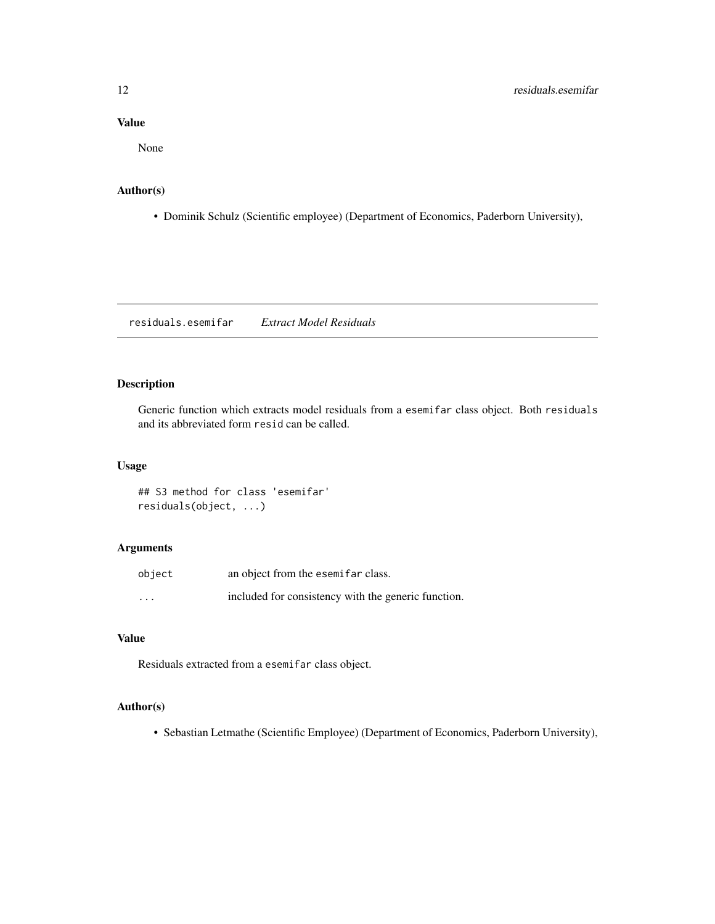#### <span id="page-11-0"></span>Value

None

#### Author(s)

• Dominik Schulz (Scientific employee) (Department of Economics, Paderborn University),

residuals.esemifar *Extract Model Residuals*

#### Description

Generic function which extracts model residuals from a esemifar class object. Both residuals and its abbreviated form resid can be called.

#### Usage

## S3 method for class 'esemifar' residuals(object, ...)

#### Arguments

| object   | an object from the esemifar class.                  |
|----------|-----------------------------------------------------|
| $\cdots$ | included for consistency with the generic function. |

#### Value

Residuals extracted from a esemifar class object.

#### Author(s)

• Sebastian Letmathe (Scientific Employee) (Department of Economics, Paderborn University),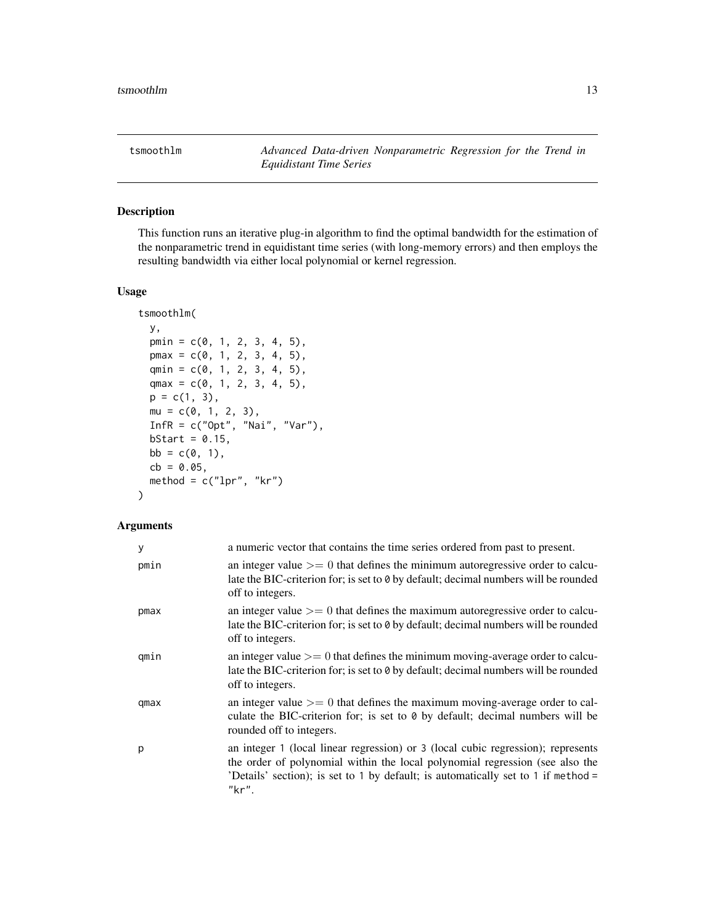<span id="page-12-1"></span><span id="page-12-0"></span>tsmoothlm *Advanced Data-driven Nonparametric Regression for the Trend in Equidistant Time Series*

#### Description

This function runs an iterative plug-in algorithm to find the optimal bandwidth for the estimation of the nonparametric trend in equidistant time series (with long-memory errors) and then employs the resulting bandwidth via either local polynomial or kernel regression.

#### Usage

```
tsmoothlm(
 y,
 pmin = c(0, 1, 2, 3, 4, 5),
 pmax = c(0, 1, 2, 3, 4, 5),qmin = c(0, 1, 2, 3, 4, 5),
 qmax = c(0, 1, 2, 3, 4, 5),
 p = c(1, 3),
 mu = c(0, 1, 2, 3),
 InfR = c("0pt", "Nai", "Var"),
 bStart = 0.15,
 bb = c(0, 1),cb = 0.05,
 method = c("1pr", "kr"))
```
#### Arguments

| У    | a numeric vector that contains the time series ordered from past to present.                                                                                                                                                                                   |
|------|----------------------------------------------------------------------------------------------------------------------------------------------------------------------------------------------------------------------------------------------------------------|
| pmin | an integer value $\geq$ 0 that defines the minimum autoregressive order to calcu-<br>late the BIC-criterion for; is set to 0 by default; decimal numbers will be rounded<br>off to integers.                                                                   |
| pmax | an integer value $\geq$ 0 that defines the maximum autoregressive order to calcu-<br>late the BIC-criterion for; is set to 0 by default; decimal numbers will be rounded<br>off to integers.                                                                   |
| qmin | an integer value $\geq$ 0 that defines the minimum moving-average order to calcu-<br>late the BIC-criterion for; is set to 0 by default; decimal numbers will be rounded<br>off to integers.                                                                   |
| qmax | an integer value $\geq$ 0 that defines the maximum moving-average order to cal-<br>culate the BIC-criterion for; is set to 0 by default; decimal numbers will be<br>rounded off to integers.                                                                   |
| p    | an integer 1 (local linear regression) or 3 (local cubic regression); represents<br>the order of polynomial within the local polynomial regression (see also the<br>'Details' section); is set to 1 by default; is automatically set to 1 if method =<br>"kr". |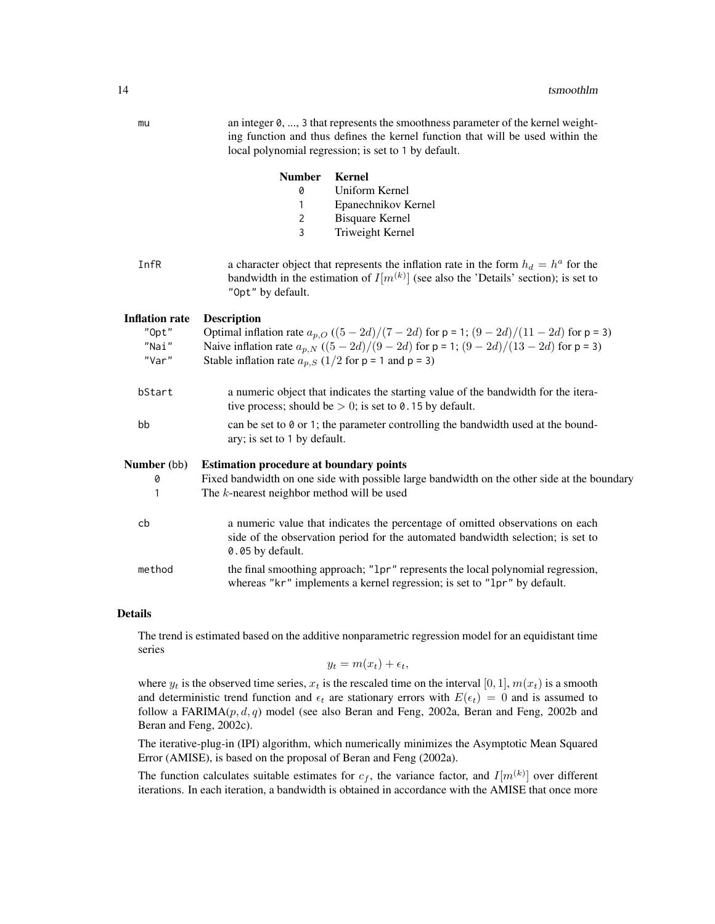| mu                                        | an integer $0, \ldots, 3$ that represents the smoothness parameter of the kernel weight-<br>ing function and thus defines the kernel function that will be used within the<br>local polynomial regression; is set to 1 by default.                                            |
|-------------------------------------------|-------------------------------------------------------------------------------------------------------------------------------------------------------------------------------------------------------------------------------------------------------------------------------|
|                                           | <b>Number</b><br><b>Kernel</b><br>Uniform Kernel<br>0<br>Epanechnikov Kernel<br>$\mathbf{1}$<br>$\overline{2}$<br><b>Bisquare Kernel</b><br>3<br>Triweight Kernel                                                                                                             |
| InfR                                      | a character object that represents the inflation rate in the form $h_d = h^a$ for the<br>bandwidth in the estimation of $I[m^{(k)}]$ (see also the 'Details' section); is set to<br>"Opt" by default.                                                                         |
| Inflation rate<br>"Opt"<br>"Nai"<br>"Var" | <b>Description</b><br>Optimal inflation rate $a_{p,Q} ((5-2d)/(7-2d)$ for $p = 1$ ; $(9-2d)/(11-2d)$ for $p = 3$ )<br>Naive inflation rate $a_{p,N} ((5-2d)/(9-2d)$ for $p = 1$ ; $(9-2d)/(13-2d)$ for $p = 3$ )<br>Stable inflation rate $a_{p,S}$ (1/2 for p = 1 and p = 3) |
| bStart                                    | a numeric object that indicates the starting value of the bandwidth for the itera-<br>tive process; should be $> 0$ ; is set to 0.15 by default.                                                                                                                              |
| bb                                        | can be set to $\theta$ or 1; the parameter controlling the bandwidth used at the bound-<br>ary; is set to 1 by default.                                                                                                                                                       |
| <b>Number</b> (bb)<br>0<br>1              | <b>Estimation procedure at boundary points</b><br>Fixed bandwidth on one side with possible large bandwidth on the other side at the boundary<br>The $k$ -nearest neighbor method will be used                                                                                |
| cb                                        | a numeric value that indicates the percentage of omitted observations on each<br>side of the observation period for the automated bandwidth selection; is set to<br>0.05 by default.                                                                                          |
| method                                    | the final smoothing approach; "1pr" represents the local polynomial regression,<br>whereas "kr" implements a kernel regression; is set to "1pr" by default.                                                                                                                   |

#### Details

The trend is estimated based on the additive nonparametric regression model for an equidistant time series

 $y_t = m(x_t) + \epsilon_t,$ 

where  $y_t$  is the observed time series,  $x_t$  is the rescaled time on the interval [0, 1],  $m(x_t)$  is a smooth and deterministic trend function and  $\epsilon_t$  are stationary errors with  $E(\epsilon_t) = 0$  and is assumed to follow a FARIMA( $p, d, q$ ) model (see also Beran and Feng, 2002a, Beran and Feng, 2002b and Beran and Feng, 2002c).

The iterative-plug-in (IPI) algorithm, which numerically minimizes the Asymptotic Mean Squared Error (AMISE), is based on the proposal of Beran and Feng (2002a).

The function calculates suitable estimates for  $c_f$ , the variance factor, and  $I[m^{(k)}]$  over different iterations. In each iteration, a bandwidth is obtained in accordance with the AMISE that once more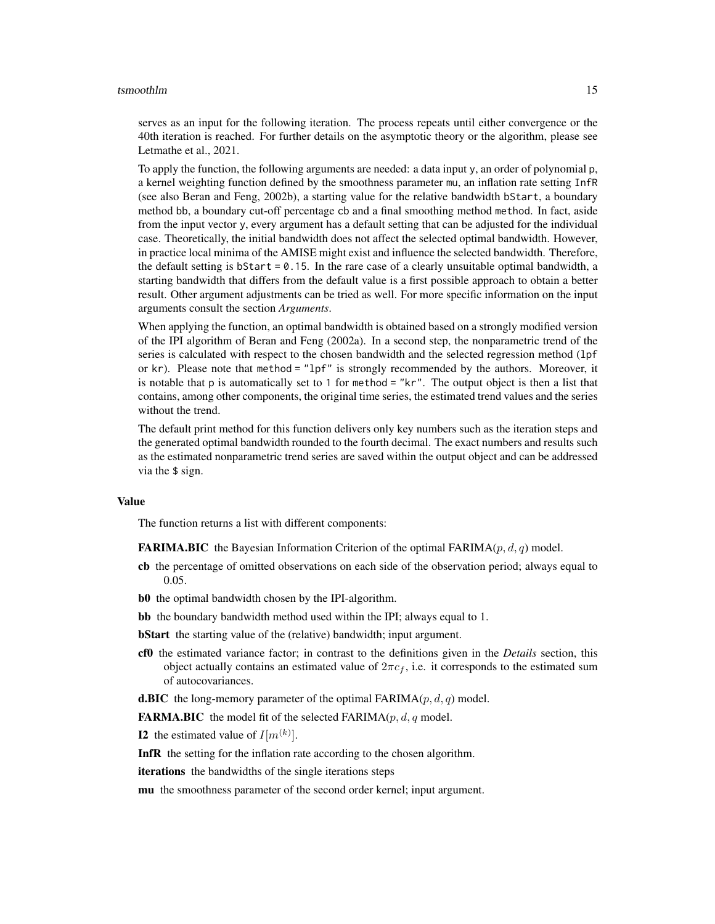#### tsmoothlm and the contract of the contract of the contract of the contract of the contract of the contract of the contract of the contract of the contract of the contract of the contract of the contract of the contract of

serves as an input for the following iteration. The process repeats until either convergence or the 40th iteration is reached. For further details on the asymptotic theory or the algorithm, please see Letmathe et al., 2021.

To apply the function, the following arguments are needed: a data input y, an order of polynomial p, a kernel weighting function defined by the smoothness parameter mu, an inflation rate setting InfR (see also Beran and Feng, 2002b), a starting value for the relative bandwidth bStart, a boundary method bb, a boundary cut-off percentage cb and a final smoothing method method. In fact, aside from the input vector y, every argument has a default setting that can be adjusted for the individual case. Theoretically, the initial bandwidth does not affect the selected optimal bandwidth. However, in practice local minima of the AMISE might exist and influence the selected bandwidth. Therefore, the default setting is bStart  $= 0.15$ . In the rare case of a clearly unsuitable optimal bandwidth, a starting bandwidth that differs from the default value is a first possible approach to obtain a better result. Other argument adjustments can be tried as well. For more specific information on the input arguments consult the section *Arguments*.

When applying the function, an optimal bandwidth is obtained based on a strongly modified version of the IPI algorithm of Beran and Feng (2002a). In a second step, the nonparametric trend of the series is calculated with respect to the chosen bandwidth and the selected regression method (lpf or  $kr$ ). Please note that method = " $1pf$ " is strongly recommended by the authors. Moreover, it is notable that p is automatically set to 1 for method = "kr". The output object is then a list that contains, among other components, the original time series, the estimated trend values and the series without the trend.

The default print method for this function delivers only key numbers such as the iteration steps and the generated optimal bandwidth rounded to the fourth decimal. The exact numbers and results such as the estimated nonparametric trend series are saved within the output object and can be addressed via the \$ sign.

#### Value

The function returns a list with different components:

**FARIMA.BIC** the Bayesian Information Criterion of the optimal FARIMA $(p, d, q)$  model.

- cb the percentage of omitted observations on each side of the observation period; always equal to 0.05.
- b0 the optimal bandwidth chosen by the IPI-algorithm.
- bb the boundary bandwidth method used within the IPI; always equal to 1.
- bStart the starting value of the (relative) bandwidth; input argument.
- cf0 the estimated variance factor; in contrast to the definitions given in the *Details* section, this object actually contains an estimated value of  $2\pi c_f$ , i.e. it corresponds to the estimated sum of autocovariances.
- **d.BIC** the long-memory parameter of the optimal FARIMA( $p$ ,  $d$ ,  $q$ ) model.

**FARMA.BIC** the model fit of the selected  $FARIMA(p, d, q \text{ model.})$ 

**I2** the estimated value of  $I[m^{(k)}]$ .

InfR the setting for the inflation rate according to the chosen algorithm.

iterations the bandwidths of the single iterations steps

mu the smoothness parameter of the second order kernel; input argument.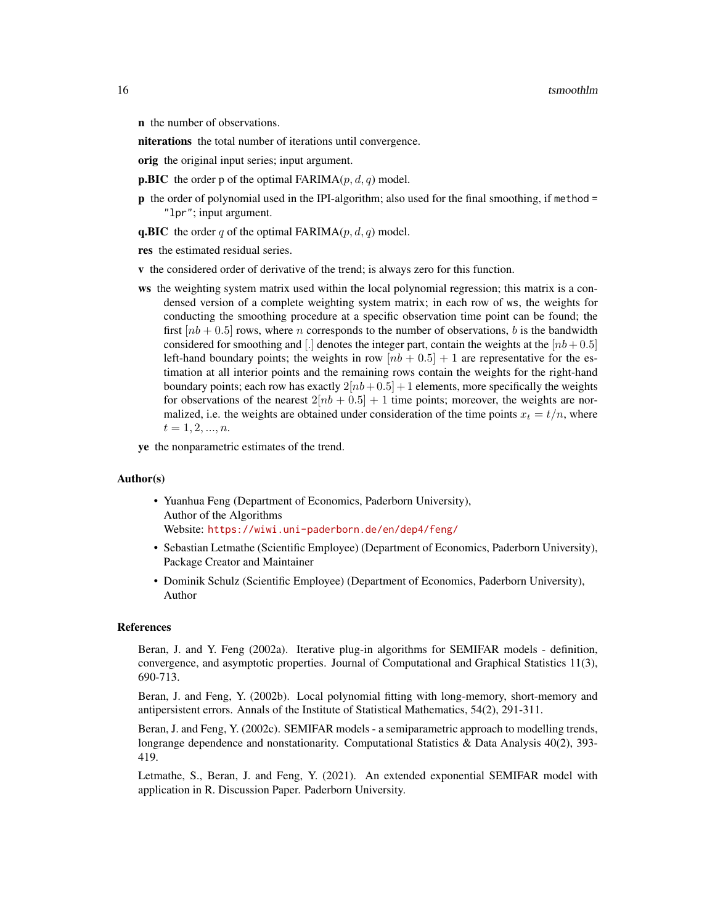n the number of observations.

niterations the total number of iterations until convergence.

orig the original input series; input argument.

**p.BIC** the order p of the optimal FARIMA $(p, d, q)$  model.

p the order of polynomial used in the IPI-algorithm; also used for the final smoothing, if method = "lpr"; input argument.

**q.BIC** the order q of the optimal FARIMA $(p, d, q)$  model.

res the estimated residual series.

- v the considered order of derivative of the trend; is always zero for this function.
- ws the weighting system matrix used within the local polynomial regression; this matrix is a condensed version of a complete weighting system matrix; in each row of ws, the weights for conducting the smoothing procedure at a specific observation time point can be found; the first  $[nb + 0.5]$  rows, where *n* corresponds to the number of observations, *b* is the bandwidth considered for smoothing and [.] denotes the integer part, contain the weights at the  $[nb+0.5]$ left-hand boundary points; the weights in row  $[nb + 0.5] + 1$  are representative for the estimation at all interior points and the remaining rows contain the weights for the right-hand boundary points; each row has exactly  $2[nb+0.5] + 1$  elements, more specifically the weights for observations of the nearest  $2[nb + 0.5] + 1$  time points; moreover, the weights are normalized, i.e. the weights are obtained under consideration of the time points  $x_t = t/n$ , where  $t = 1, 2, ..., n$ .

ye the nonparametric estimates of the trend.

#### Author(s)

- Yuanhua Feng (Department of Economics, Paderborn University), Author of the Algorithms Website: <https://wiwi.uni-paderborn.de/en/dep4/feng/>
- Sebastian Letmathe (Scientific Employee) (Department of Economics, Paderborn University), Package Creator and Maintainer
- Dominik Schulz (Scientific Employee) (Department of Economics, Paderborn University), Author

#### References

Beran, J. and Y. Feng (2002a). Iterative plug-in algorithms for SEMIFAR models - definition, convergence, and asymptotic properties. Journal of Computational and Graphical Statistics 11(3), 690-713.

Beran, J. and Feng, Y. (2002b). Local polynomial fitting with long-memory, short-memory and antipersistent errors. Annals of the Institute of Statistical Mathematics, 54(2), 291-311.

Beran, J. and Feng, Y. (2002c). SEMIFAR models - a semiparametric approach to modelling trends, longrange dependence and nonstationarity. Computational Statistics & Data Analysis 40(2), 393-419.

Letmathe, S., Beran, J. and Feng, Y. (2021). An extended exponential SEMIFAR model with application in R. Discussion Paper. Paderborn University.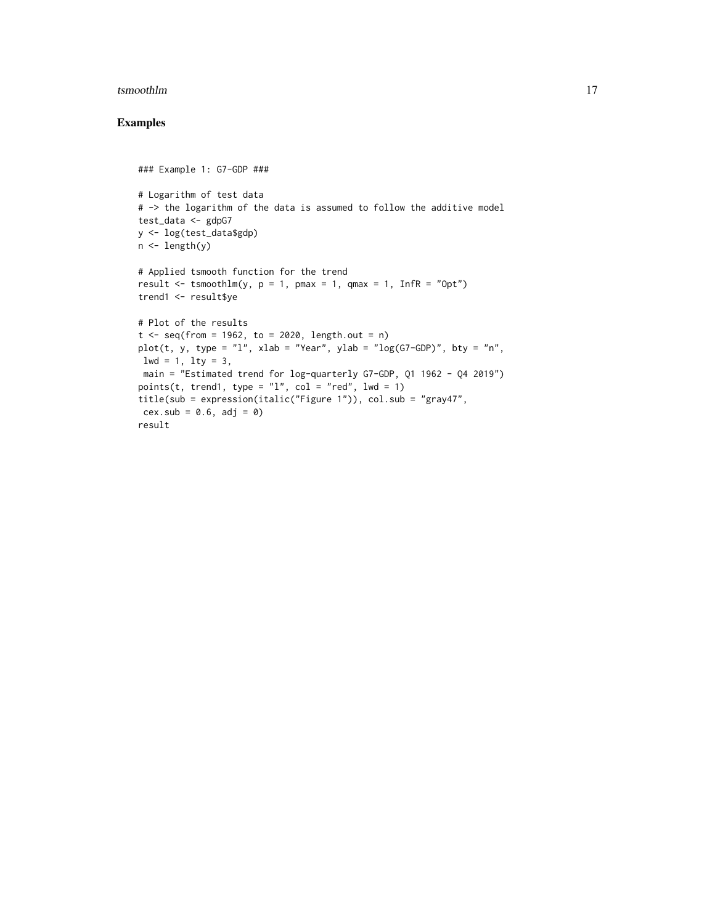#### tsmoothlm and the contract of the contract of the contract of the contract of the contract of the contract of the contract of the contract of the contract of the contract of the contract of the contract of the contract of

#### Examples

```
### Example 1: G7-GDP ###
# Logarithm of test data
# -> the logarithm of the data is assumed to follow the additive model
test_data <- gdpG7
y <- log(test_data$gdp)
n <- length(y)
# Applied tsmooth function for the trend
result \le tsmoothlm(y, p = 1, pmax = 1, qmax = 1, InfR = "Opt")
trend1 <- result$ye
# Plot of the results
t \leq -\text{seq}(\text{from} = 1962, \text{to} = 2020, \text{length.out} = n)plot(t, y, type = "l", xlab = "Year", ylab = "log(G7-GDP)", bty = "n",
1wd = 1, 1ty = 3,
main = "Estimated trend for log-quarterly G7-GDP, Q1 1962 - Q4 2019")
points(t, trend1, type = "1", col = "red", lwd = 1)
title(sub = expression(italic("Figure 1")), col.sub = "gray47",
cex.sub = 0.6, adj = 0)result
```